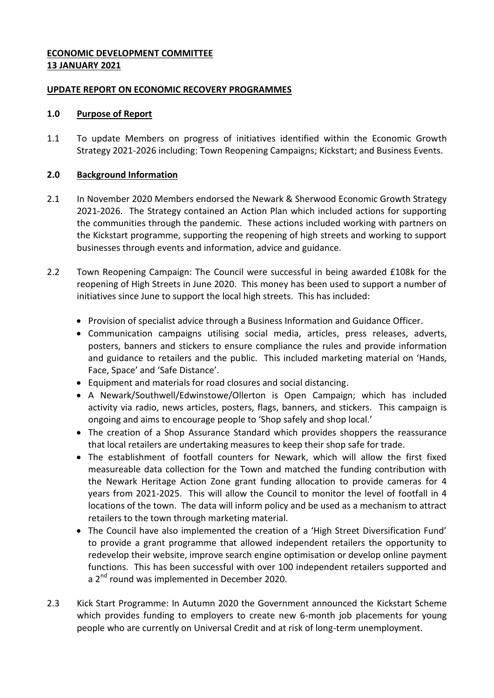# **ECONOMIC DEVELOPMENT COMMITTEE 13 JANUARY 2021**

## **UPDATE REPORT ON ECONOMIC RECOVERY PROGRAMMES**

#### **1.0 Purpose of Report**

1.1 To update Members on progress of initiatives identified within the Economic Growth Strategy 2021-2026 including: Town Reopening Campaigns; Kickstart; and Business Events.

## **2.0 Background Information**

- 2.1 In November 2020 Members endorsed the Newark & Sherwood Economic Growth Strategy 2021-2026. The Strategy contained an Action Plan which included actions for supporting the communities through the pandemic. These actions included working with partners on the Kickstart programme, supporting the reopening of high streets and working to support businesses through events and information, advice and guidance.
- 2.2 Town Reopening Campaign: The Council were successful in being awarded £108k for the reopening of High Streets in June 2020. This money has been used to support a number of initiatives since June to support the local high streets. This has included:
	- Provision of specialist advice through a Business Information and Guidance Officer.
	- Communication campaigns utilising social media, articles, press releases, adverts, posters, banners and stickers to ensure compliance the rules and provide information and guidance to retailers and the public. This included marketing material on 'Hands, Face, Space' and 'Safe Distance'.
	- Equipment and materials for road closures and social distancing.
	- A Newark/Southwell/Edwinstowe/Ollerton is Open Campaign; which has included activity via radio, news articles, posters, flags, banners, and stickers. This campaign is ongoing and aims to encourage people to 'Shop safely and shop local.'
	- The creation of a Shop Assurance Standard which provides shoppers the reassurance that local retailers are undertaking measures to keep their shop safe for trade.
	- The establishment of footfall counters for Newark, which will allow the first fixed measureable data collection for the Town and matched the funding contribution with the Newark Heritage Action Zone grant funding allocation to provide cameras for 4 years from 2021-2025. This will allow the Council to monitor the level of footfall in 4 locations of the town. The data will inform policy and be used as a mechanism to attract retailers to the town through marketing material.
	- The Council have also implemented the creation of a 'High Street Diversification Fund' to provide a grant programme that allowed independent retailers the opportunity to redevelop their website, improve search engine optimisation or develop online payment functions. This has been successful with over 100 independent retailers supported and a 2<sup>nd</sup> round was implemented in December 2020.
- 2.3 Kick Start Programme: In Autumn 2020 the Government announced the Kickstart Scheme which provides funding to employers to create new 6-month job placements for young people who are currently on Universal Credit and at risk of long-term unemployment.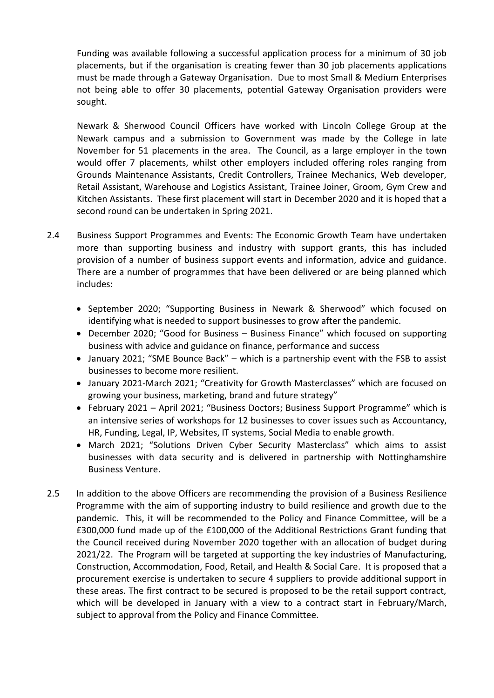Funding was available following a successful application process for a minimum of 30 job placements, but if the organisation is creating fewer than 30 job placements applications must be made through a Gateway Organisation. Due to most Small & Medium Enterprises not being able to offer 30 placements, potential Gateway Organisation providers were sought.

Newark & Sherwood Council Officers have worked with Lincoln College Group at the Newark campus and a submission to Government was made by the College in late November for 51 placements in the area. The Council, as a large employer in the town would offer 7 placements, whilst other employers included offering roles ranging from Grounds Maintenance Assistants, Credit Controllers, Trainee Mechanics, Web developer, Retail Assistant, Warehouse and Logistics Assistant, Trainee Joiner, Groom, Gym Crew and Kitchen Assistants. These first placement will start in December 2020 and it is hoped that a second round can be undertaken in Spring 2021.

- 2.4 Business Support Programmes and Events: The Economic Growth Team have undertaken more than supporting business and industry with support grants, this has included provision of a number of business support events and information, advice and guidance. There are a number of programmes that have been delivered or are being planned which includes:
	- September 2020; "Supporting Business in Newark & Sherwood" which focused on identifying what is needed to support businesses to grow after the pandemic.
	- December 2020; "Good for Business Business Finance" which focused on supporting business with advice and guidance on finance, performance and success
	- January 2021; "SME Bounce Back" which is a partnership event with the FSB to assist businesses to become more resilient.
	- January 2021-March 2021; "Creativity for Growth Masterclasses" which are focused on growing your business, marketing, brand and future strategy"
	- February 2021 April 2021; "Business Doctors; Business Support Programme" which is an intensive series of workshops for 12 businesses to cover issues such as Accountancy, HR, Funding, Legal, IP, Websites, IT systems, Social Media to enable growth.
	- March 2021; "Solutions Driven Cyber Security Masterclass" which aims to assist businesses with data security and is delivered in partnership with Nottinghamshire Business Venture.
- 2.5 In addition to the above Officers are recommending the provision of a Business Resilience Programme with the aim of supporting industry to build resilience and growth due to the pandemic. This, it will be recommended to the Policy and Finance Committee, will be a £300,000 fund made up of the £100,000 of the Additional Restrictions Grant funding that the Council received during November 2020 together with an allocation of budget during 2021/22. The Program will be targeted at supporting the key industries of Manufacturing, Construction, Accommodation, Food, Retail, and Health & Social Care. It is proposed that a procurement exercise is undertaken to secure 4 suppliers to provide additional support in these areas. The first contract to be secured is proposed to be the retail support contract, which will be developed in January with a view to a contract start in February/March, subject to approval from the Policy and Finance Committee.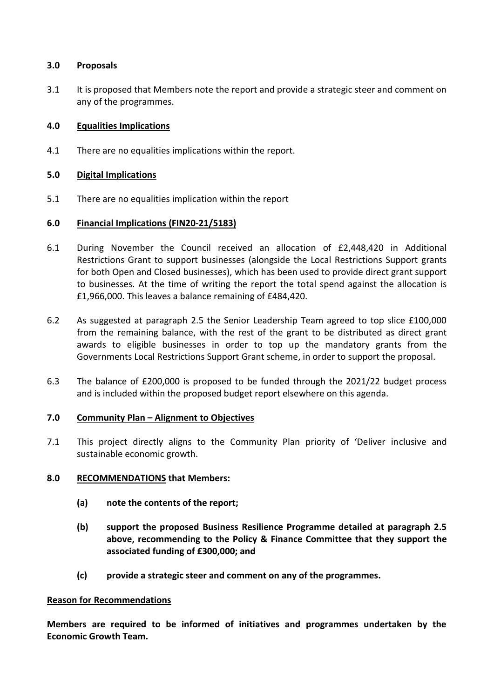## **3.0 Proposals**

3.1 It is proposed that Members note the report and provide a strategic steer and comment on any of the programmes.

# **4.0 Equalities Implications**

4.1 There are no equalities implications within the report.

## **5.0 Digital Implications**

5.1 There are no equalities implication within the report

## **6.0 Financial Implications (FIN20-21/5183)**

- 6.1 During November the Council received an allocation of £2,448,420 in Additional Restrictions Grant to support businesses (alongside the Local Restrictions Support grants for both Open and Closed businesses), which has been used to provide direct grant support to businesses. At the time of writing the report the total spend against the allocation is £1,966,000. This leaves a balance remaining of £484,420.
- 6.2 As suggested at paragraph 2.5 the Senior Leadership Team agreed to top slice £100,000 from the remaining balance, with the rest of the grant to be distributed as direct grant awards to eligible businesses in order to top up the mandatory grants from the Governments Local Restrictions Support Grant scheme, in order to support the proposal.
- 6.3 The balance of £200,000 is proposed to be funded through the 2021/22 budget process and is included within the proposed budget report elsewhere on this agenda.

#### **7.0 Community Plan – Alignment to Objectives**

7.1 This project directly aligns to the Community Plan priority of 'Deliver inclusive and sustainable economic growth.

#### **8.0 RECOMMENDATIONS that Members:**

- **(a) note the contents of the report;**
- **(b) support the proposed Business Resilience Programme detailed at paragraph 2.5 above, recommending to the Policy & Finance Committee that they support the associated funding of £300,000; and**
- **(c) provide a strategic steer and comment on any of the programmes.**

#### **Reason for Recommendations**

**Members are required to be informed of initiatives and programmes undertaken by the Economic Growth Team.**